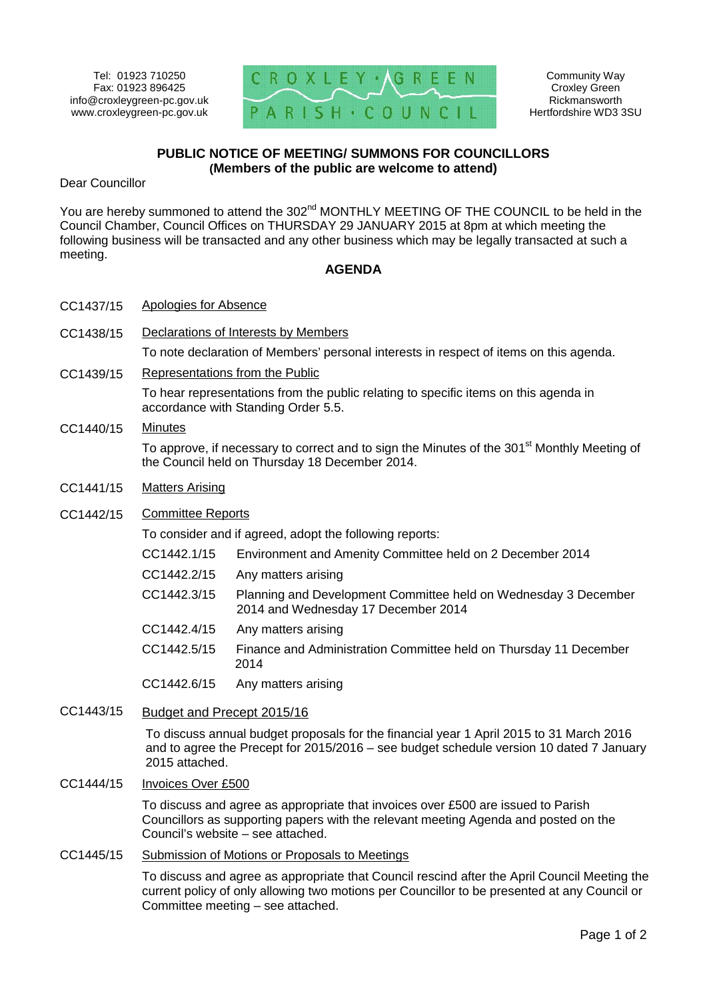

Community Way Croxley Green Rickmansworth Hertfordshire WD3 3SU

# **PUBLIC NOTICE OF MEETING/ SUMMONS FOR COUNCILLORS (Members of the public are welcome to attend)**

Dear Councillor

You are hereby summoned to attend the 302<sup>nd</sup> MONTHLY MEETING OF THE COUNCIL to be held in the Council Chamber, Council Offices on THURSDAY 29 JANUARY 2015 at 8pm at which meeting the following business will be transacted and any other business which may be legally transacted at such a meeting.

## **AGENDA**

- CC1437/15 Apologies for Absence
- CC1438/15 Declarations of Interests by Members

To note declaration of Members' personal interests in respect of items on this agenda.

CC1439/15 Representations from the Public

To hear representations from the public relating to specific items on this agenda in accordance with Standing Order 5.5.

## CC1440/15 Minutes

To approve, if necessary to correct and to sign the Minutes of the 301<sup>st</sup> Monthly Meeting of the Council held on Thursday 18 December 2014.

- CC1441/15 Matters Arising
- CC1442/15 Committee Reports

To consider and if agreed, adopt the following reports:

- CC1442.1/15 Environment and Amenity Committee held on 2 December 2014
- CC1442.2/15 Any matters arising
- CC1442.3/15 Planning and Development Committee held on Wednesday 3 December 2014 and Wednesday 17 December 2014
- CC1442.4/15 Any matters arising
- CC1442.5/15 Finance and Administration Committee held on Thursday 11 December 2014
- CC1442.6/15 Any matters arising
- CC1443/15 Budget and Precept 2015/16

To discuss annual budget proposals for the financial year 1 April 2015 to 31 March 2016 and to agree the Precept for 2015/2016 – see budget schedule version 10 dated 7 January 2015 attached.

CC1444/15 Invoices Over £500

To discuss and agree as appropriate that invoices over £500 are issued to Parish Councillors as supporting papers with the relevant meeting Agenda and posted on the Council's website – see attached.

## CC1445/15 Submission of Motions or Proposals to Meetings

To discuss and agree as appropriate that Council rescind after the April Council Meeting the current policy of only allowing two motions per Councillor to be presented at any Council or Committee meeting – see attached.